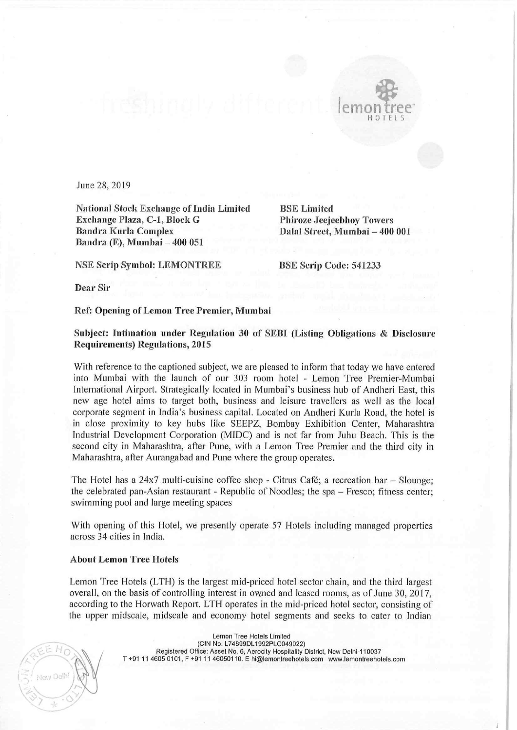

June 28, 2019

National Stock Exchange of India Limited BSE Limited Exchange Plaza, C-1, Block G<br>Bandra Kurla Complex Bandra Kurla Complex Dalal Street, Mumbai — 400 001 Bandra (E), Mumbai <mark>– 400 0</mark>51

NSE Scrip Symbol: LEMONTREE BSE Scrip Code: 541233

Dear Sir

## Ref: Opening of Lemon Tree Premier, Mumbai

## Subject: lntimation under Regulation <sup>30</sup> of SEBI (Listing Obligations & Disclosure Requirements) Regulations, 2015

With reference to the captioned subject, we are pleased to inform that today we have entered into Murnbai with the launch of our 303 room hotel — Lemon Tree Premier—Mumbai International Airport. Strategically located in Mumbai's business hub of Andheri East, this new age hotel aims to target both, business and leisure travellers as well as the local corporate segment in India's business capital. Located on Andheri Kurla Road, the hotel is in close proximity to key hubs like SEEPZ, Bombay Exhibition Center, Maharashtra Industrial Development Corporation (MIDC) and is not far from Juhu Beach. This is the second city in Maharashtra, after Pune, with <sup>a</sup> Lemon Tree Premier and the third city in Maharashtra, after Aurangabad and Pune where the group operates.

The Hotel has a 24x7 multi-cuisine coffee shop - Citrus Café; a recreation bar - Slounge; the celebrated pan-Asian restaurant - Republic of Noodles; the spa - Fresco; fitness center; swimming pool and large meeting spaces

With opening of this Hotel, we presently operate <sup>57</sup> Hotels including managed properties across 34 cities in lndia.

## About Lemon Tree Hotels

Lemon Tree Hotels (LTH) is the largest mid-priced hotel sector chain, and the third largest overall, on the basis of controlling interest in owned and leased rooms, as of June 30, 2017, according to the Horwath Report. LTH operates in the mid-priced hotel sector, consisting of the upper midscale, midscale and economy hotel segments and seeks to cater to Indian

Lemon Tree Hotels Limited<br>(CIN No. L74899DL1992PLC049022) CIN No. L74899DL1992PLC049022)<br>Registered Office: Asset No. 6, Aerocity Hospitality District, New Delhi-110037 T +91 <sup>11</sup> 4605 0101, <sup>F</sup> +91 <sup>11</sup> 46050110, <sup>E</sup> hi@lemontreehotels.eom www.|emonlreehutels.com